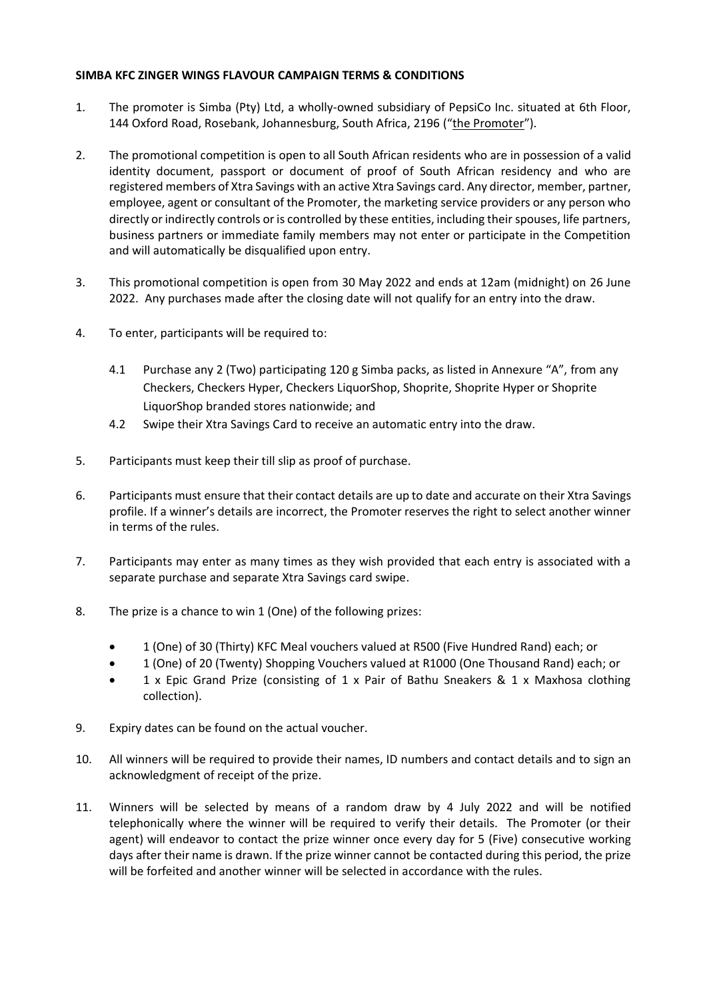## **SIMBA KFC ZINGER WINGS FLAVOUR CAMPAIGN TERMS & CONDITIONS**

- 1. The promoter is Simba (Pty) Ltd, a wholly-owned subsidiary of PepsiCo Inc. situated at 6th Floor, 144 Oxford Road, Rosebank, Johannesburg, South Africa, 2196 ("the Promoter").
- 2. The promotional competition is open to all South African residents who are in possession of a valid identity document, passport or document of proof of South African residency and who are registered members of Xtra Savings with an active Xtra Savings card. Any director, member, partner, employee, agent or consultant of the Promoter, the marketing service providers or any person who directly or indirectly controls or is controlled by these entities, including their spouses, life partners, business partners or immediate family members may not enter or participate in the Competition and will automatically be disqualified upon entry.
- 3. This promotional competition is open from 30 May 2022 and ends at 12am (midnight) on 26 June 2022. Any purchases made after the closing date will not qualify for an entry into the draw.
- 4. To enter, participants will be required to:
	- 4.1 Purchase any 2 (Two) participating 120 g Simba packs, as listed in Annexure "A", from any Checkers, Checkers Hyper, Checkers LiquorShop, Shoprite, Shoprite Hyper or Shoprite LiquorShop branded stores nationwide; and
	- 4.2 Swipe their Xtra Savings Card to receive an automatic entry into the draw.
- 5. Participants must keep their till slip as proof of purchase.
- 6. Participants must ensure that their contact details are up to date and accurate on their Xtra Savings profile. If a winner's details are incorrect, the Promoter reserves the right to select another winner in terms of the rules.
- 7. Participants may enter as many times as they wish provided that each entry is associated with a separate purchase and separate Xtra Savings card swipe.
- 8. The prize is a chance to win 1 (One) of the following prizes:
	- 1 (One) of 30 (Thirty) KFC Meal vouchers valued at R500 (Five Hundred Rand) each; or
	- 1 (One) of 20 (Twenty) Shopping Vouchers valued at R1000 (One Thousand Rand) each; or
	- 1 x Epic Grand Prize (consisting of 1 x Pair of Bathu Sneakers & 1 x Maxhosa clothing collection).
- 9. Expiry dates can be found on the actual voucher.
- 10. All winners will be required to provide their names, ID numbers and contact details and to sign an acknowledgment of receipt of the prize.
- 11. Winners will be selected by means of a random draw by 4 July 2022 and will be notified telephonically where the winner will be required to verify their details. The Promoter (or their agent) will endeavor to contact the prize winner once every day for 5 (Five) consecutive working days after their name is drawn. If the prize winner cannot be contacted during this period, the prize will be forfeited and another winner will be selected in accordance with the rules.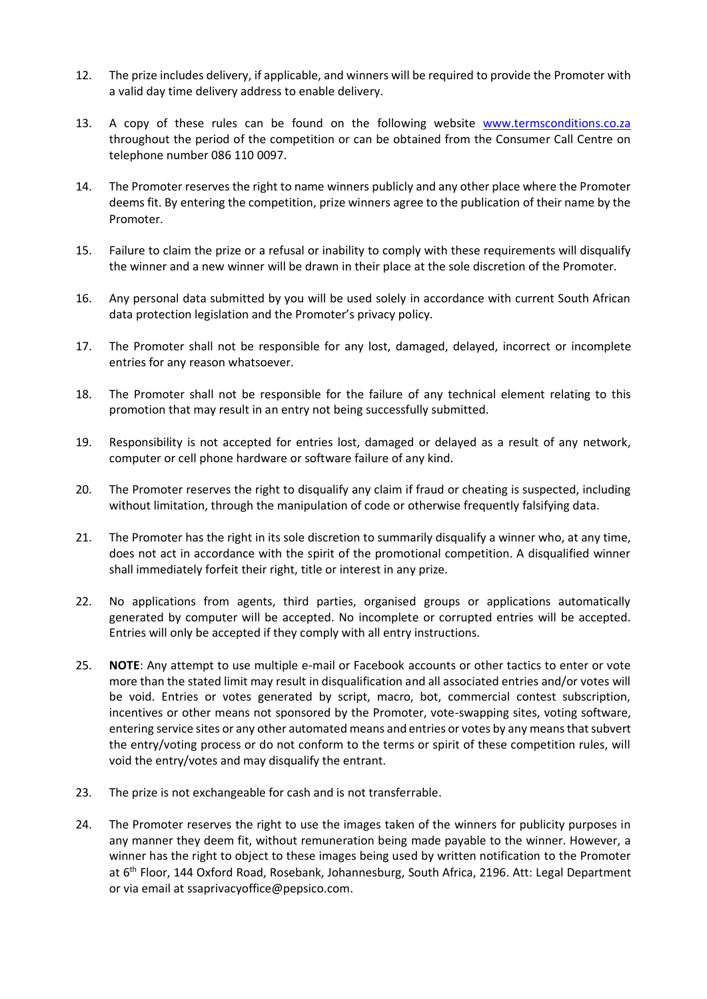- 12. The prize includes delivery, if applicable, and winners will be required to provide the Promoter with a valid day time delivery address to enable delivery.
- 13. A copy of these rules can be found on the following website [www.termsconditions.co.za](http://www.termsconditions.co.za/) throughout the period of the competition or can be obtained from the Consumer Call Centre on telephone number 086 110 0097.
- 14. The Promoter reserves the right to name winners publicly and any other place where the Promoter deems fit. By entering the competition, prize winners agree to the publication of their name by the Promoter.
- 15. Failure to claim the prize or a refusal or inability to comply with these requirements will disqualify the winner and a new winner will be drawn in their place at the sole discretion of the Promoter.
- 16. Any personal data submitted by you will be used solely in accordance with current South African data protection legislation and the Promoter's privacy policy.
- 17. The Promoter shall not be responsible for any lost, damaged, delayed, incorrect or incomplete entries for any reason whatsoever.
- 18. The Promoter shall not be responsible for the failure of any technical element relating to this promotion that may result in an entry not being successfully submitted.
- 19. Responsibility is not accepted for entries lost, damaged or delayed as a result of any network, computer or cell phone hardware or software failure of any kind.
- 20. The Promoter reserves the right to disqualify any claim if fraud or cheating is suspected, including without limitation, through the manipulation of code or otherwise frequently falsifying data.
- 21. The Promoter has the right in its sole discretion to summarily disqualify a winner who, at any time, does not act in accordance with the spirit of the promotional competition. A disqualified winner shall immediately forfeit their right, title or interest in any prize.
- 22. No applications from agents, third parties, organised groups or applications automatically generated by computer will be accepted. No incomplete or corrupted entries will be accepted. Entries will only be accepted if they comply with all entry instructions.
- 25. **NOTE**: Any attempt to use multiple e-mail or Facebook accounts or other tactics to enter or vote more than the stated limit may result in disqualification and all associated entries and/or votes will be void. Entries or votes generated by script, macro, bot, commercial contest subscription, incentives or other means not sponsored by the Promoter, vote-swapping sites, voting software, entering service sites or any other automated means and entries or votes by any means that subvert the entry/voting process or do not conform to the terms or spirit of these competition rules, will void the entry/votes and may disqualify the entrant.
- 23. The prize is not exchangeable for cash and is not transferrable.
- 24. The Promoter reserves the right to use the images taken of the winners for publicity purposes in any manner they deem fit, without remuneration being made payable to the winner. However, a winner has the right to object to these images being used by written notification to the Promoter at 6<sup>th</sup> Floor, 144 Oxford Road, Rosebank, Johannesburg, South Africa, 2196. Att: Legal Department or via email at ssaprivacyoffice@pepsico.com.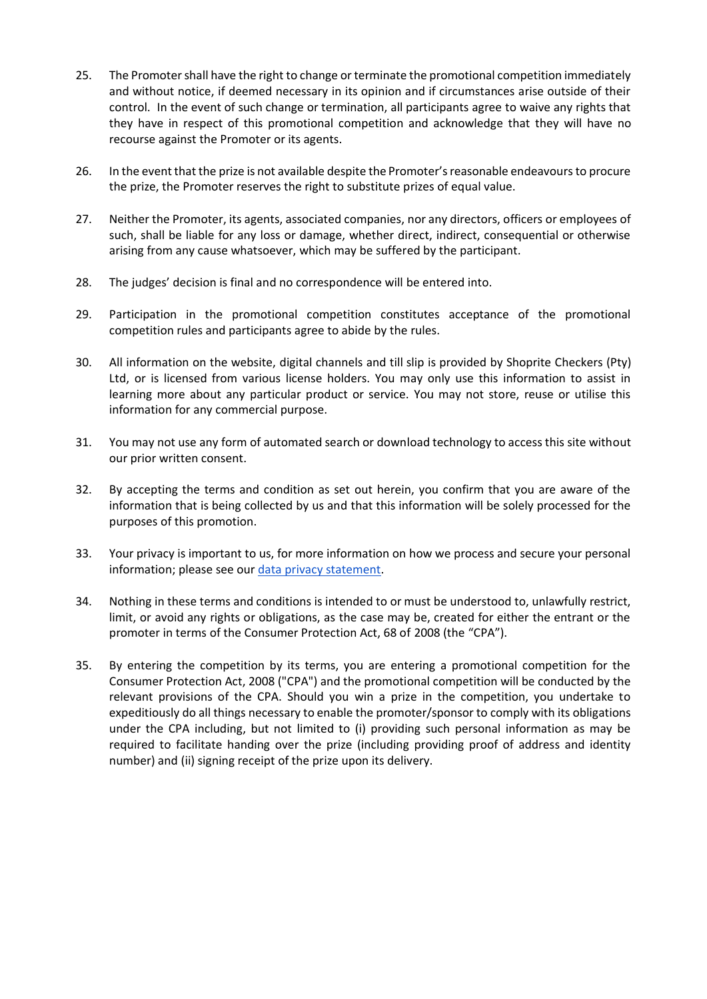- 25. The Promoter shall have the right to change or terminate the promotional competition immediately and without notice, if deemed necessary in its opinion and if circumstances arise outside of their control. In the event of such change or termination, all participants agree to waive any rights that they have in respect of this promotional competition and acknowledge that they will have no recourse against the Promoter or its agents.
- 26. In the event that the prize is not available despite the Promoter's reasonable endeavours to procure the prize, the Promoter reserves the right to substitute prizes of equal value.
- 27. Neither the Promoter, its agents, associated companies, nor any directors, officers or employees of such, shall be liable for any loss or damage, whether direct, indirect, consequential or otherwise arising from any cause whatsoever, which may be suffered by the participant.
- 28. The judges' decision is final and no correspondence will be entered into.
- 29. Participation in the promotional competition constitutes acceptance of the promotional competition rules and participants agree to abide by the rules.
- 30. All information on the website, digital channels and till slip is provided by Shoprite Checkers (Pty) Ltd, or is licensed from various license holders. You may only use this information to assist in learning more about any particular product or service. You may not store, reuse or utilise this information for any commercial purpose.
- 31. You may not use any form of automated search or download technology to access this site without our prior written consent.
- 32. By accepting the terms and condition as set out herein, you confirm that you are aware of the information that is being collected by us and that this information will be solely processed for the purposes of this promotion.
- 33. Your privacy is important to us, for more information on how we process and secure your personal information; please see our [data privacy statement.](https://www.shoprite.co.za/privacyPolicy)
- 34. Nothing in these terms and conditions is intended to or must be understood to, unlawfully restrict, limit, or avoid any rights or obligations, as the case may be, created for either the entrant or the promoter in terms of the Consumer Protection Act, 68 of 2008 (the "CPA").
- 35. By entering the competition by its terms, you are entering a promotional competition for the Consumer Protection Act, 2008 ("CPA") and the promotional competition will be conducted by the relevant provisions of the CPA. Should you win a prize in the competition, you undertake to expeditiously do all things necessary to enable the promoter/sponsor to comply with its obligations under the CPA including, but not limited to (i) providing such personal information as may be required to facilitate handing over the prize (including providing proof of address and identity number) and (ii) signing receipt of the prize upon its delivery.